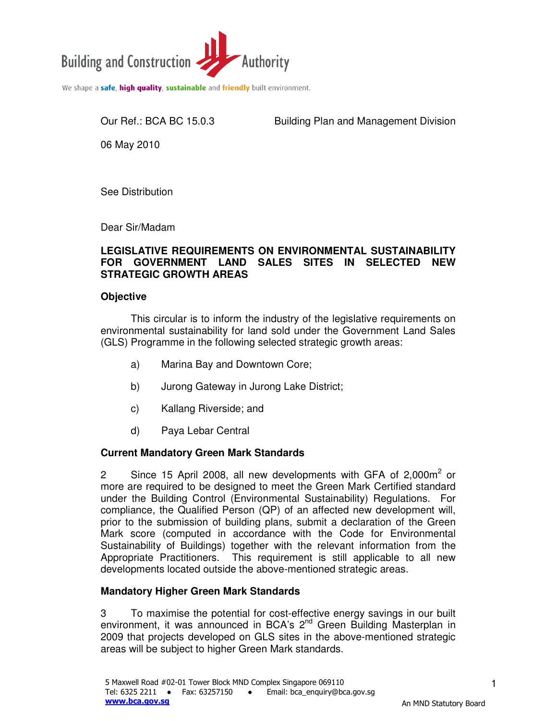

We shape a safe, high quality, sustainable and friendly built environment.

Our Ref.: BCA BC 15.0.3 Building Plan and Management Division

06 May 2010

See Distribution

Dear Sir/Madam

#### **LEGISLATIVE REQUIREMENTS ON ENVIRONMENTAL SUSTAINABILITY FOR GOVERNMENT LAND SALES SITES IN SELECTED NEW STRATEGIC GROWTH AREAS**

### **Objective**

This circular is to inform the industry of the legislative requirements on environmental sustainability for land sold under the Government Land Sales (GLS) Programme in the following selected strategic growth areas:

- a) Marina Bay and Downtown Core;
- b) Jurong Gateway in Jurong Lake District;
- c) Kallang Riverside; and
- d) Paya Lebar Central

# **Current Mandatory Green Mark Standards**

2 Since 15 April 2008, all new developments with GFA of 2,000 $m^2$  or more are required to be designed to meet the Green Mark Certified standard under the Building Control (Environmental Sustainability) Regulations. For compliance, the Qualified Person (QP) of an affected new development will, prior to the submission of building plans, submit a declaration of the Green Mark score (computed in accordance with the Code for Environmental Sustainability of Buildings) together with the relevant information from the Appropriate Practitioners. This requirement is still applicable to all new developments located outside the above-mentioned strategic areas.

# **Mandatory Higher Green Mark Standards**

3 To maximise the potential for cost-effective energy savings in our built environment, it was announced in BCA's 2<sup>nd</sup> Green Building Masterplan in 2009 that projects developed on GLS sites in the above-mentioned strategic areas will be subject to higher Green Mark standards.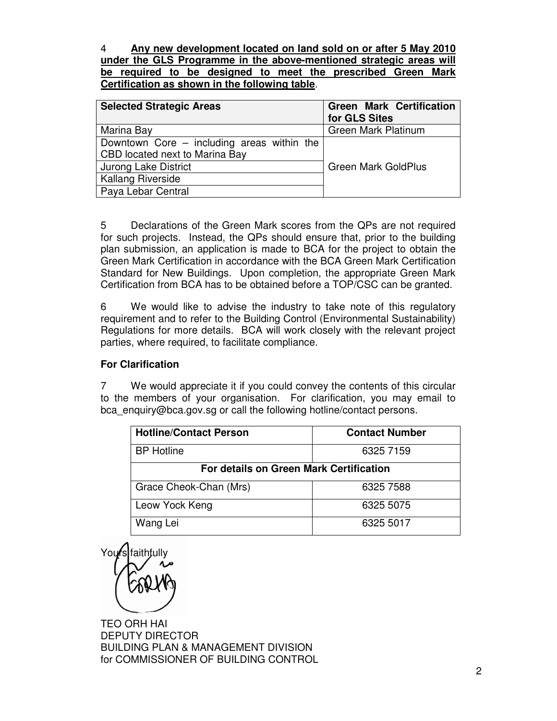4 **Any new development located on land sold on or after 5 May 2010 under the GLS Programme in the above-mentioned strategic areas will be required to be designed to meet the prescribed Green Mark Certification as shown in the following table**.

| <b>Selected Strategic Areas</b>              | <b>Green Mark Certification</b><br>for GLS Sites |
|----------------------------------------------|--------------------------------------------------|
| Marina Bay                                   | Green Mark Platinum                              |
| Downtown Core $-$ including areas within the |                                                  |
| CBD located next to Marina Bay               |                                                  |
| <b>Jurong Lake District</b>                  | <b>Green Mark GoldPlus</b>                       |
| <b>Kallang Riverside</b>                     |                                                  |
| Paya Lebar Central                           |                                                  |

5 Declarations of the Green Mark scores from the QPs are not required for such projects. Instead, the QPs should ensure that, prior to the building plan submission, an application is made to BCA for the project to obtain the Green Mark Certification in accordance with the BCA Green Mark Certification Standard for New Buildings. Upon completion, the appropriate Green Mark Certification from BCA has to be obtained before a TOP/CSC can be granted.

6 We would like to advise the industry to take note of this regulatory requirement and to refer to the Building Control (Environmental Sustainability) Regulations for more details. BCA will work closely with the relevant project parties, where required, to facilitate compliance.

## **For Clarification**

7 We would appreciate it if you could convey the contents of this circular to the members of your organisation. For clarification, you may email to bca\_enquiry@bca.gov.sg or call the following hotline/contact persons.

| <b>Hotline/Contact Person</b>                  | <b>Contact Number</b> |
|------------------------------------------------|-----------------------|
| <b>BP</b> Hotline                              | 6325 7159             |
| <b>For details on Green Mark Certification</b> |                       |
| Grace Cheok-Chan (Mrs)                         | 6325 7588             |
| Leow Yock Keng                                 | 6325 5075             |
| Wang Lei                                       | 6325 5017             |

You**ŕ**s[faithƒully

TEO ORH HAI DEPUTY DIRECTOR BUILDING PLAN & MANAGEMENT DIVISION for COMMISSIONER OF BUILDING CONTROL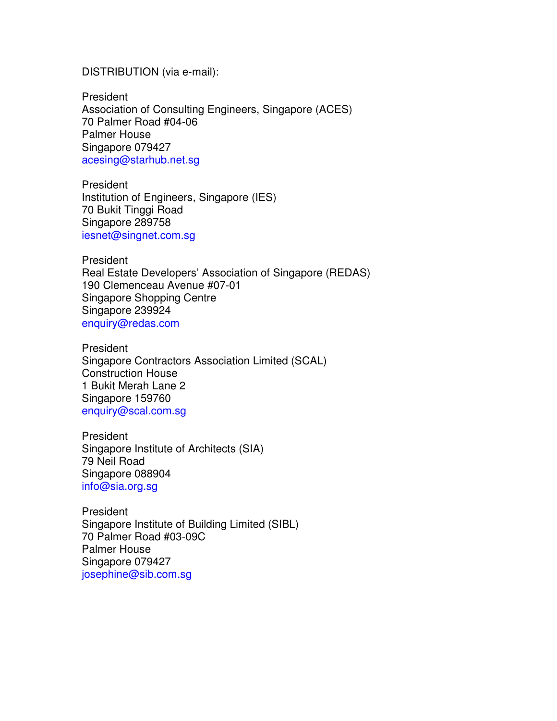#### DISTRIBUTION (via e-mail):

President Association of Consulting Engineers, Singapore (ACES) 70 Palmer Road #04-06 Palmer House Singapore 079427 acesing@starhub.net.sg

President Institution of Engineers, Singapore (IES) 70 Bukit Tinggi Road Singapore 289758 iesnet@singnet.com.sg

President Real Estate Developers' Association of Singapore (REDAS) 190 Clemenceau Avenue #07-01 Singapore Shopping Centre Singapore 239924 enquiry@redas.com

President Singapore Contractors Association Limited (SCAL) Construction House 1 Bukit Merah Lane 2 Singapore 159760 enquiry@scal.com.sg

President Singapore Institute of Architects (SIA) 79 Neil Road Singapore 088904 info@sia.org.sg

President Singapore Institute of Building Limited (SIBL) 70 Palmer Road #03-09C Palmer House Singapore 079427 josephine@sib.com.sg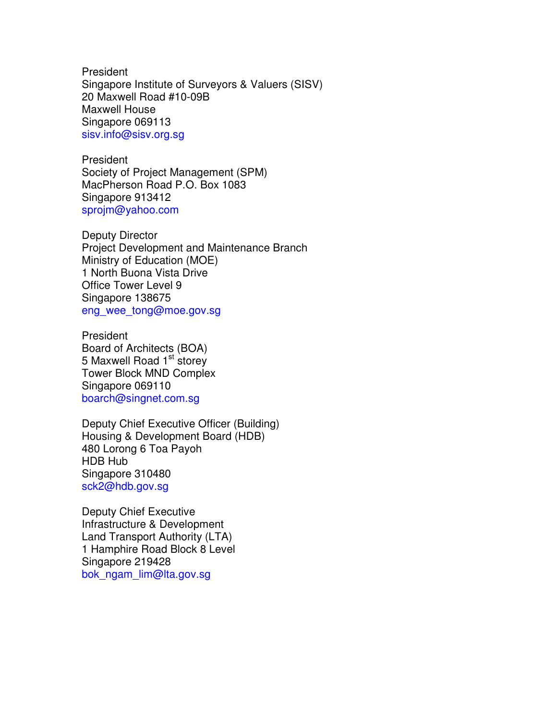President Singapore Institute of Surveyors & Valuers (SISV) 20 Maxwell Road #10-09B Maxwell House Singapore 069113 sisv.info@sisv.org.sg

President Society of Project Management (SPM) MacPherson Road P.O. Box 1083 Singapore 913412 sprojm@yahoo.com

Deputy Director Project Development and Maintenance Branch Ministry of Education (MOE) 1 North Buona Vista Drive Office Tower Level 9 Singapore 138675 eng\_wee\_tong@moe.gov.sg

President Board of Architects (BOA) 5 Maxwell Road 1<sup>st</sup> storey Tower Block MND Complex Singapore 069110 boarch@singnet.com.sg

Deputy Chief Executive Officer (Building) Housing & Development Board (HDB) 480 Lorong 6 Toa Payoh HDB Hub Singapore 310480 sck2@hdb.gov.sg

Deputy Chief Executive Infrastructure & Development Land Transport Authority (LTA) 1 Hamphire Road Block 8 Level Singapore 219428 bok\_ngam\_lim@lta.gov.sg